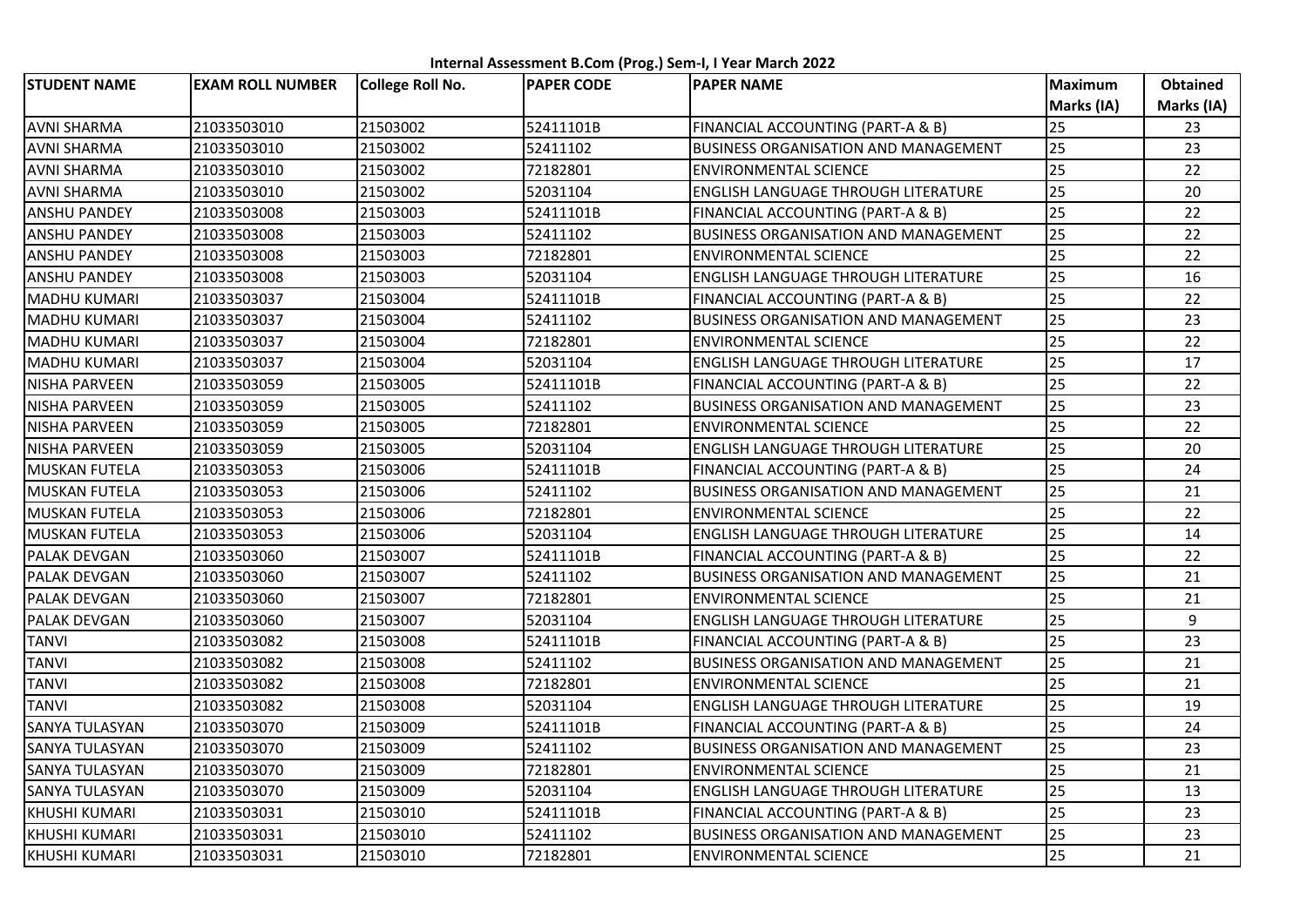**Internal Assessment B.Com (Prog.) Sem-I, I Year March 2022**

| <b>STUDENT NAME</b>  | <b>EXAM ROLL NUMBER</b> | College Roll No. | <b>PAPER CODE</b> | <b>PAPER NAME</b>                           | <b>Maximum</b> | <b>Obtained</b> |
|----------------------|-------------------------|------------------|-------------------|---------------------------------------------|----------------|-----------------|
|                      |                         |                  |                   |                                             | Marks (IA)     | Marks (IA)      |
| <b>AVNI SHARMA</b>   | 21033503010             | 21503002         | 52411101B         | FINANCIAL ACCOUNTING (PART-A & B)           | 25             | 23              |
| <b>AVNI SHARMA</b>   | 21033503010             | 21503002         | 52411102          | <b>BUSINESS ORGANISATION AND MANAGEMENT</b> | 25             | 23              |
| <b>AVNI SHARMA</b>   | 21033503010             | 21503002         | 72182801          | <b>ENVIRONMENTAL SCIENCE</b>                | 25             | 22              |
| <b>AVNI SHARMA</b>   | 21033503010             | 21503002         | 52031104          | <b>ENGLISH LANGUAGE THROUGH LITERATURE</b>  | 25             | 20              |
| ANSHU PANDEY         | 21033503008             | 21503003         | 52411101B         | FINANCIAL ACCOUNTING (PART-A & B)           | 25             | 22              |
| ANSHU PANDEY         | 21033503008             | 21503003         | 52411102          | <b>BUSINESS ORGANISATION AND MANAGEMENT</b> | 25             | 22              |
| ANSHU PANDEY         | 21033503008             | 21503003         | 72182801          | <b>ENVIRONMENTAL SCIENCE</b>                | 25             | 22              |
| ANSHU PANDEY         | 21033503008             | 21503003         | 52031104          | <b>ENGLISH LANGUAGE THROUGH LITERATURE</b>  | 25             | 16              |
| <b>MADHU KUMARI</b>  | 21033503037             | 21503004         | 52411101B         | FINANCIAL ACCOUNTING (PART-A & B)           | 25             | 22              |
| MADHU KUMARI         | 21033503037             | 21503004         | 52411102          | BUSINESS ORGANISATION AND MANAGEMENT        | 25             | 23              |
| MADHU KUMARI         | 21033503037             | 21503004         | 72182801          | <b>ENVIRONMENTAL SCIENCE</b>                | 25             | 22              |
| <b>MADHU KUMARI</b>  | 21033503037             | 21503004         | 52031104          | <b>ENGLISH LANGUAGE THROUGH LITERATURE</b>  | 25             | 17              |
| NISHA PARVEEN        | 21033503059             | 21503005         | 52411101B         | FINANCIAL ACCOUNTING (PART-A & B)           | 25             | 22              |
| NISHA PARVEEN        | 21033503059             | 21503005         | 52411102          | <b>BUSINESS ORGANISATION AND MANAGEMENT</b> | 25             | 23              |
| NISHA PARVEEN        | 21033503059             | 21503005         | 72182801          | <b>ENVIRONMENTAL SCIENCE</b>                | 25             | 22              |
| NISHA PARVEEN        | 21033503059             | 21503005         | 52031104          | <b>ENGLISH LANGUAGE THROUGH LITERATURE</b>  | 25             | 20              |
| <b>MUSKAN FUTELA</b> | 21033503053             | 21503006         | 52411101B         | FINANCIAL ACCOUNTING (PART-A & B)           | 25             | 24              |
| <b>MUSKAN FUTELA</b> | 21033503053             | 21503006         | 52411102          | BUSINESS ORGANISATION AND MANAGEMENT        | 25             | 21              |
| <b>MUSKAN FUTELA</b> | 21033503053             | 21503006         | 72182801          | <b>ENVIRONMENTAL SCIENCE</b>                | 25             | 22              |
| <b>MUSKAN FUTELA</b> | 21033503053             | 21503006         | 52031104          | <b>ENGLISH LANGUAGE THROUGH LITERATURE</b>  | 25             | 14              |
| PALAK DEVGAN         | 21033503060             | 21503007         | 52411101B         | FINANCIAL ACCOUNTING (PART-A & B)           | 25             | 22              |
| PALAK DEVGAN         | 21033503060             | 21503007         | 52411102          | <b>BUSINESS ORGANISATION AND MANAGEMENT</b> | 25             | 21              |
| PALAK DEVGAN         | 21033503060             | 21503007         | 72182801          | <b>ENVIRONMENTAL SCIENCE</b>                | 25             | 21              |
| PALAK DEVGAN         | 21033503060             | 21503007         | 52031104          | <b>ENGLISH LANGUAGE THROUGH LITERATURE</b>  | 25             | 9               |
| <b>TANVI</b>         | 21033503082             | 21503008         | 52411101B         | FINANCIAL ACCOUNTING (PART-A & B)           | 25             | 23              |
| <b>TANVI</b>         | 21033503082             | 21503008         | 52411102          | <b>BUSINESS ORGANISATION AND MANAGEMENT</b> | 25             | 21              |
| <b>TANVI</b>         | 21033503082             | 21503008         | 72182801          | <b>ENVIRONMENTAL SCIENCE</b>                | 25             | 21              |
| <b>TANVI</b>         | 21033503082             | 21503008         | 52031104          | <b>ENGLISH LANGUAGE THROUGH LITERATURE</b>  | 25             | 19              |
| SANYA TULASYAN       | 21033503070             | 21503009         | 52411101B         | FINANCIAL ACCOUNTING (PART-A & B)           | 25             | 24              |
| SANYA TULASYAN       | 21033503070             | 21503009         | 52411102          | <b>BUSINESS ORGANISATION AND MANAGEMENT</b> | 25             | 23              |
| SANYA TULASYAN       | 21033503070             | 21503009         | 72182801          | <b>ENVIRONMENTAL SCIENCE</b>                | 25             | 21              |
| SANYA TULASYAN       | 21033503070             | 21503009         | 52031104          | <b>ENGLISH LANGUAGE THROUGH LITERATURE</b>  | 25             | 13              |
| KHUSHI KUMARI        | 21033503031             | 21503010         | 52411101B         | FINANCIAL ACCOUNTING (PART-A & B)           | 25             | 23              |
| KHUSHI KUMARI        | 21033503031             | 21503010         | 52411102          | BUSINESS ORGANISATION AND MANAGEMENT        | 25             | 23              |
| KHUSHI KUMARI        | 21033503031             | 21503010         | 72182801          | <b>ENVIRONMENTAL SCIENCE</b>                | 25             | 21              |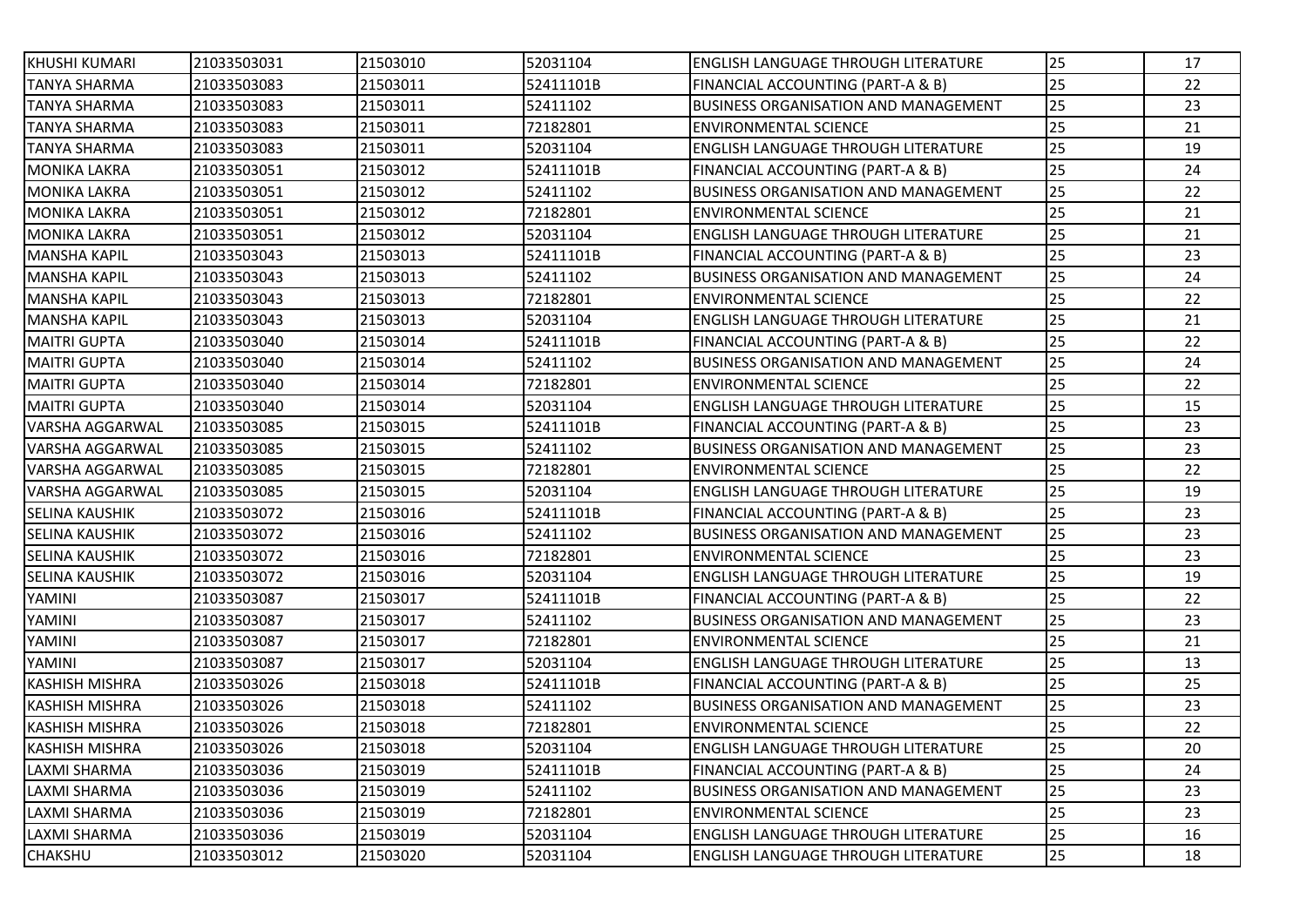| KHUSHI KUMARI          | 21033503031 | 21503010 | 52031104  | ENGLISH LANGUAGE THROUGH LITERATURE         | 25 | 17 |
|------------------------|-------------|----------|-----------|---------------------------------------------|----|----|
| <b>TANYA SHARMA</b>    | 21033503083 | 21503011 | 52411101B | FINANCIAL ACCOUNTING (PART-A & B)           | 25 | 22 |
| <b>TANYA SHARMA</b>    | 21033503083 | 21503011 | 52411102  | <b>BUSINESS ORGANISATION AND MANAGEMENT</b> | 25 | 23 |
| <b>TANYA SHARMA</b>    | 21033503083 | 21503011 | 72182801  | <b>ENVIRONMENTAL SCIENCE</b>                | 25 | 21 |
| <b>TANYA SHARMA</b>    | 21033503083 | 21503011 | 52031104  | ENGLISH LANGUAGE THROUGH LITERATURE         | 25 | 19 |
| <b>MONIKA LAKRA</b>    | 21033503051 | 21503012 | 52411101B | FINANCIAL ACCOUNTING (PART-A & B)           | 25 | 24 |
| <b>MONIKA LAKRA</b>    | 21033503051 | 21503012 | 52411102  | <b>BUSINESS ORGANISATION AND MANAGEMENT</b> | 25 | 22 |
| <b>MONIKA LAKRA</b>    | 21033503051 | 21503012 | 72182801  | <b>ENVIRONMENTAL SCIENCE</b>                | 25 | 21 |
| <b>MONIKA LAKRA</b>    | 21033503051 | 21503012 | 52031104  | <b>ENGLISH LANGUAGE THROUGH LITERATURE</b>  | 25 | 21 |
| <b>MANSHA KAPIL</b>    | 21033503043 | 21503013 | 52411101B | FINANCIAL ACCOUNTING (PART-A & B)           | 25 | 23 |
| <b>MANSHA KAPIL</b>    | 21033503043 | 21503013 | 52411102  | <b>BUSINESS ORGANISATION AND MANAGEMENT</b> | 25 | 24 |
| <b>MANSHA KAPIL</b>    | 21033503043 | 21503013 | 72182801  | <b>ENVIRONMENTAL SCIENCE</b>                | 25 | 22 |
| <b>MANSHA KAPIL</b>    | 21033503043 | 21503013 | 52031104  | ENGLISH LANGUAGE THROUGH LITERATURE         | 25 | 21 |
| <b>MAITRI GUPTA</b>    | 21033503040 | 21503014 | 52411101B | FINANCIAL ACCOUNTING (PART-A & B)           | 25 | 22 |
| <b>MAITRI GUPTA</b>    | 21033503040 | 21503014 | 52411102  | <b>BUSINESS ORGANISATION AND MANAGEMENT</b> | 25 | 24 |
| <b>MAITRI GUPTA</b>    | 21033503040 | 21503014 | 72182801  | <b>ENVIRONMENTAL SCIENCE</b>                | 25 | 22 |
| <b>MAITRI GUPTA</b>    | 21033503040 | 21503014 | 52031104  | ENGLISH LANGUAGE THROUGH LITERATURE         | 25 | 15 |
| <b>VARSHA AGGARWAL</b> | 21033503085 | 21503015 | 52411101B | FINANCIAL ACCOUNTING (PART-A & B)           | 25 | 23 |
| VARSHA AGGARWAL        | 21033503085 | 21503015 | 52411102  | <b>BUSINESS ORGANISATION AND MANAGEMENT</b> | 25 | 23 |
| VARSHA AGGARWAL        | 21033503085 | 21503015 | 72182801  | <b>ENVIRONMENTAL SCIENCE</b>                | 25 | 22 |
| <b>VARSHA AGGARWAL</b> | 21033503085 | 21503015 | 52031104  | <b>ENGLISH LANGUAGE THROUGH LITERATURE</b>  | 25 | 19 |
| <b>SELINA KAUSHIK</b>  | 21033503072 | 21503016 | 52411101B | FINANCIAL ACCOUNTING (PART-A & B)           | 25 | 23 |
| <b>SELINA KAUSHIK</b>  | 21033503072 | 21503016 | 52411102  | <b>BUSINESS ORGANISATION AND MANAGEMENT</b> | 25 | 23 |
| <b>SELINA KAUSHIK</b>  | 21033503072 | 21503016 | 72182801  | <b>ENVIRONMENTAL SCIENCE</b>                | 25 | 23 |
| <b>SELINA KAUSHIK</b>  | 21033503072 | 21503016 | 52031104  | <b>ENGLISH LANGUAGE THROUGH LITERATURE</b>  | 25 | 19 |
| YAMINI                 | 21033503087 | 21503017 | 52411101B | FINANCIAL ACCOUNTING (PART-A & B)           | 25 | 22 |
| YAMINI                 | 21033503087 | 21503017 | 52411102  | BUSINESS ORGANISATION AND MANAGEMENT        | 25 | 23 |
| YAMINI                 | 21033503087 | 21503017 | 72182801  | <b>ENVIRONMENTAL SCIENCE</b>                | 25 | 21 |
| YAMINI                 | 21033503087 | 21503017 | 52031104  | ENGLISH LANGUAGE THROUGH LITERATURE         | 25 | 13 |
| <b>KASHISH MISHRA</b>  | 21033503026 | 21503018 | 52411101B | FINANCIAL ACCOUNTING (PART-A & B)           | 25 | 25 |
| <b>KASHISH MISHRA</b>  | 21033503026 | 21503018 | 52411102  | BUSINESS ORGANISATION AND MANAGEMENT        | 25 | 23 |
| <b>KASHISH MISHRA</b>  | 21033503026 | 21503018 | 72182801  | <b>ENVIRONMENTAL SCIENCE</b>                | 25 | 22 |
| <b>KASHISH MISHRA</b>  | 21033503026 | 21503018 | 52031104  | <b>ENGLISH LANGUAGE THROUGH LITERATURE</b>  | 25 | 20 |
| LAXMI SHARMA           | 21033503036 | 21503019 | 52411101B | FINANCIAL ACCOUNTING (PART-A & B)           | 25 | 24 |
| LAXMI SHARMA           | 21033503036 | 21503019 | 52411102  | <b>BUSINESS ORGANISATION AND MANAGEMENT</b> | 25 | 23 |
| LAXMI SHARMA           | 21033503036 | 21503019 | 72182801  | <b>ENVIRONMENTAL SCIENCE</b>                | 25 | 23 |
| LAXMI SHARMA           | 21033503036 | 21503019 | 52031104  | <b>ENGLISH LANGUAGE THROUGH LITERATURE</b>  | 25 | 16 |
| <b>CHAKSHU</b>         | 21033503012 | 21503020 | 52031104  | <b>ENGLISH LANGUAGE THROUGH LITERATURE</b>  | 25 | 18 |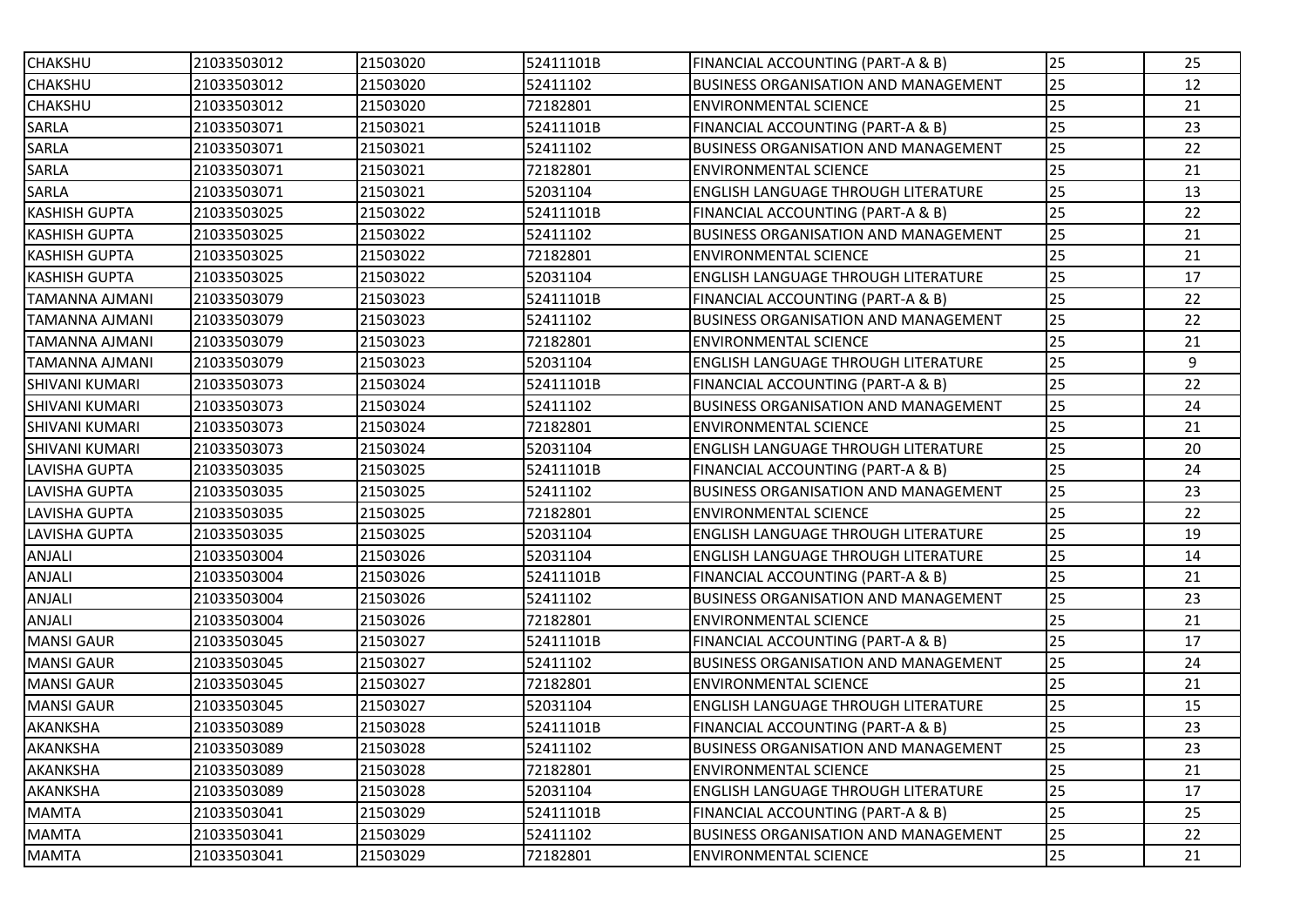| <b>CHAKSHU</b>        | 21033503012 | 21503020 | 52411101B | FINANCIAL ACCOUNTING (PART-A & B)           | 25 | 25 |
|-----------------------|-------------|----------|-----------|---------------------------------------------|----|----|
| <b>CHAKSHU</b>        | 21033503012 | 21503020 | 52411102  | <b>BUSINESS ORGANISATION AND MANAGEMENT</b> | 25 | 12 |
| <b>CHAKSHU</b>        | 21033503012 | 21503020 | 72182801  | <b>ENVIRONMENTAL SCIENCE</b>                | 25 | 21 |
| SARLA                 | 21033503071 | 21503021 | 52411101B | FINANCIAL ACCOUNTING (PART-A & B)           | 25 | 23 |
| SARLA                 | 21033503071 | 21503021 | 52411102  | <b>BUSINESS ORGANISATION AND MANAGEMENT</b> | 25 | 22 |
| SARLA                 | 21033503071 | 21503021 | 72182801  | <b>ENVIRONMENTAL SCIENCE</b>                | 25 | 21 |
| SARLA                 | 21033503071 | 21503021 | 52031104  | ENGLISH LANGUAGE THROUGH LITERATURE         | 25 | 13 |
| <b>KASHISH GUPTA</b>  | 21033503025 | 21503022 | 52411101B | FINANCIAL ACCOUNTING (PART-A & B)           | 25 | 22 |
| <b>KASHISH GUPTA</b>  | 21033503025 | 21503022 | 52411102  | BUSINESS ORGANISATION AND MANAGEMENT        | 25 | 21 |
| <b>KASHISH GUPTA</b>  | 21033503025 | 21503022 | 72182801  | <b>ENVIRONMENTAL SCIENCE</b>                | 25 | 21 |
| <b>KASHISH GUPTA</b>  | 21033503025 | 21503022 | 52031104  | ENGLISH LANGUAGE THROUGH LITERATURE         | 25 | 17 |
| <b>TAMANNA AJMANI</b> | 21033503079 | 21503023 | 52411101B | FINANCIAL ACCOUNTING (PART-A & B)           | 25 | 22 |
| TAMANNA AJMANI        | 21033503079 | 21503023 | 52411102  | <b>BUSINESS ORGANISATION AND MANAGEMENT</b> | 25 | 22 |
| TAMANNA AJMANI        | 21033503079 | 21503023 | 72182801  | <b>ENVIRONMENTAL SCIENCE</b>                | 25 | 21 |
| <b>TAMANNA AJMANI</b> | 21033503079 | 21503023 | 52031104  | ENGLISH LANGUAGE THROUGH LITERATURE         | 25 | 9  |
| <b>SHIVANI KUMARI</b> | 21033503073 | 21503024 | 52411101B | FINANCIAL ACCOUNTING (PART-A & B)           | 25 | 22 |
| <b>SHIVANI KUMARI</b> | 21033503073 | 21503024 | 52411102  | <b>BUSINESS ORGANISATION AND MANAGEMENT</b> | 25 | 24 |
| <b>SHIVANI KUMARI</b> | 21033503073 | 21503024 | 72182801  | <b>ENVIRONMENTAL SCIENCE</b>                | 25 | 21 |
| <b>SHIVANI KUMARI</b> | 21033503073 | 21503024 | 52031104  | ENGLISH LANGUAGE THROUGH LITERATURE         | 25 | 20 |
| LAVISHA GUPTA         | 21033503035 | 21503025 | 52411101B | FINANCIAL ACCOUNTING (PART-A & B)           | 25 | 24 |
| LAVISHA GUPTA         | 21033503035 | 21503025 | 52411102  | <b>BUSINESS ORGANISATION AND MANAGEMENT</b> | 25 | 23 |
| LAVISHA GUPTA         | 21033503035 | 21503025 | 72182801  | <b>ENVIRONMENTAL SCIENCE</b>                | 25 | 22 |
| LAVISHA GUPTA         | 21033503035 | 21503025 | 52031104  | ENGLISH LANGUAGE THROUGH LITERATURE         | 25 | 19 |
| ANJALI                | 21033503004 | 21503026 | 52031104  | ENGLISH LANGUAGE THROUGH LITERATURE         | 25 | 14 |
| ANJALI                | 21033503004 | 21503026 | 52411101B | FINANCIAL ACCOUNTING (PART-A & B)           | 25 | 21 |
| ANJALI                | 21033503004 | 21503026 | 52411102  | BUSINESS ORGANISATION AND MANAGEMENT        | 25 | 23 |
| ANJALI                | 21033503004 | 21503026 | 72182801  | <b>ENVIRONMENTAL SCIENCE</b>                | 25 | 21 |
| <b>MANSI GAUR</b>     | 21033503045 | 21503027 | 52411101B | FINANCIAL ACCOUNTING (PART-A & B)           | 25 | 17 |
| <b>MANSI GAUR</b>     | 21033503045 | 21503027 | 52411102  | BUSINESS ORGANISATION AND MANAGEMENT        | 25 | 24 |
| <b>MANSI GAUR</b>     | 21033503045 | 21503027 | 72182801  | <b>ENVIRONMENTAL SCIENCE</b>                | 25 | 21 |
| <b>MANSI GAUR</b>     | 21033503045 | 21503027 | 52031104  | ENGLISH LANGUAGE THROUGH LITERATURE         | 25 | 15 |
| AKANKSHA              | 21033503089 | 21503028 | 52411101B | FINANCIAL ACCOUNTING (PART-A & B)           | 25 | 23 |
| AKANKSHA              | 21033503089 | 21503028 | 52411102  | <b>BUSINESS ORGANISATION AND MANAGEMENT</b> | 25 | 23 |
| AKANKSHA              | 21033503089 | 21503028 | 72182801  | <b>ENVIRONMENTAL SCIENCE</b>                | 25 | 21 |
| AKANKSHA              | 21033503089 | 21503028 | 52031104  | ENGLISH LANGUAGE THROUGH LITERATURE         | 25 | 17 |
| MAMTA                 | 21033503041 | 21503029 | 52411101B | FINANCIAL ACCOUNTING (PART-A & B)           | 25 | 25 |
| <b>MAMTA</b>          | 21033503041 | 21503029 | 52411102  | <b>BUSINESS ORGANISATION AND MANAGEMENT</b> | 25 | 22 |
| MAMTA                 | 21033503041 | 21503029 | 72182801  | <b>ENVIRONMENTAL SCIENCE</b>                | 25 | 21 |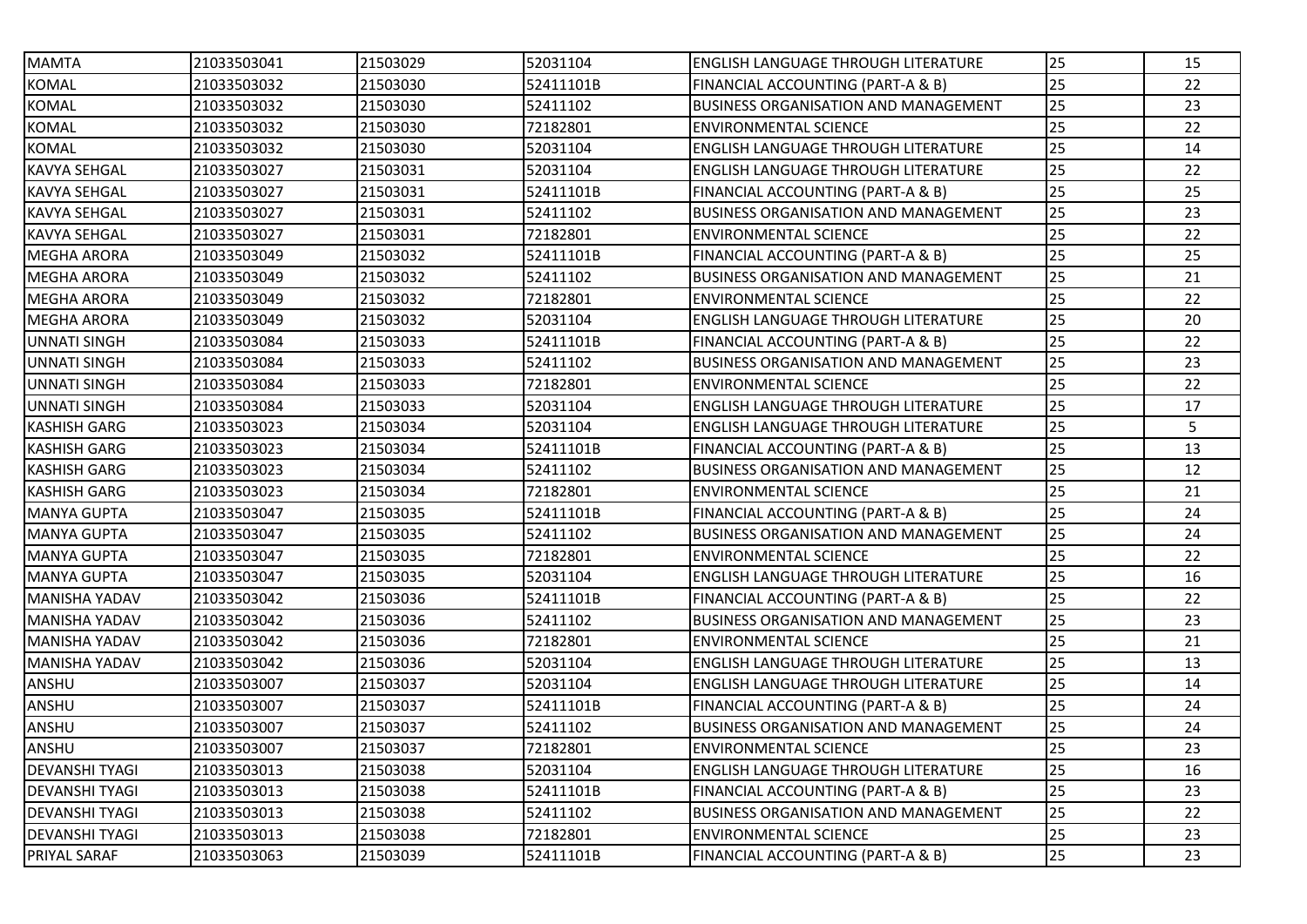| <b>MAMTA</b>          | 21033503041 | 21503029 | 52031104  | <b>ENGLISH LANGUAGE THROUGH LITERATURE</b>  | 25 | 15 |
|-----------------------|-------------|----------|-----------|---------------------------------------------|----|----|
| <b>KOMAL</b>          | 21033503032 | 21503030 | 52411101B | FINANCIAL ACCOUNTING (PART-A & B)           | 25 | 22 |
| <b>KOMAL</b>          | 21033503032 | 21503030 | 52411102  | <b>BUSINESS ORGANISATION AND MANAGEMENT</b> | 25 | 23 |
| <b>KOMAL</b>          | 21033503032 | 21503030 | 72182801  | <b>ENVIRONMENTAL SCIENCE</b>                | 25 | 22 |
| <b>KOMAL</b>          | 21033503032 | 21503030 | 52031104  | <b>ENGLISH LANGUAGE THROUGH LITERATURE</b>  | 25 | 14 |
| KAVYA SEHGAL          | 21033503027 | 21503031 | 52031104  | <b>ENGLISH LANGUAGE THROUGH LITERATURE</b>  | 25 | 22 |
| KAVYA SEHGAL          | 21033503027 | 21503031 | 52411101B | FINANCIAL ACCOUNTING (PART-A & B)           | 25 | 25 |
| <b>KAVYA SEHGAL</b>   | 21033503027 | 21503031 | 52411102  | <b>BUSINESS ORGANISATION AND MANAGEMENT</b> | 25 | 23 |
| KAVYA SEHGAL          | 21033503027 | 21503031 | 72182801  | <b>ENVIRONMENTAL SCIENCE</b>                | 25 | 22 |
| <b>MEGHA ARORA</b>    | 21033503049 | 21503032 | 52411101B | FINANCIAL ACCOUNTING (PART-A & B)           | 25 | 25 |
| <b>MEGHA ARORA</b>    | 21033503049 | 21503032 | 52411102  | <b>BUSINESS ORGANISATION AND MANAGEMENT</b> | 25 | 21 |
| <b>MEGHA ARORA</b>    | 21033503049 | 21503032 | 72182801  | <b>ENVIRONMENTAL SCIENCE</b>                | 25 | 22 |
| <b>MEGHA ARORA</b>    | 21033503049 | 21503032 | 52031104  | <b>ENGLISH LANGUAGE THROUGH LITERATURE</b>  | 25 | 20 |
| UNNATI SINGH          | 21033503084 | 21503033 | 52411101B | FINANCIAL ACCOUNTING (PART-A & B)           | 25 | 22 |
| <b>UNNATI SINGH</b>   | 21033503084 | 21503033 | 52411102  | <b>BUSINESS ORGANISATION AND MANAGEMENT</b> | 25 | 23 |
| <b>UNNATI SINGH</b>   | 21033503084 | 21503033 | 72182801  | <b>ENVIRONMENTAL SCIENCE</b>                | 25 | 22 |
| <b>UNNATI SINGH</b>   | 21033503084 | 21503033 | 52031104  | <b>ENGLISH LANGUAGE THROUGH LITERATURE</b>  | 25 | 17 |
| <b>KASHISH GARG</b>   | 21033503023 | 21503034 | 52031104  | <b>ENGLISH LANGUAGE THROUGH LITERATURE</b>  | 25 | 5  |
| <b>KASHISH GARG</b>   | 21033503023 | 21503034 | 52411101B | FINANCIAL ACCOUNTING (PART-A & B)           | 25 | 13 |
| <b>KASHISH GARG</b>   | 21033503023 | 21503034 | 52411102  | <b>BUSINESS ORGANISATION AND MANAGEMENT</b> | 25 | 12 |
| <b>KASHISH GARG</b>   | 21033503023 | 21503034 | 72182801  | <b>ENVIRONMENTAL SCIENCE</b>                | 25 | 21 |
| <b>MANYA GUPTA</b>    | 21033503047 | 21503035 | 52411101B | FINANCIAL ACCOUNTING (PART-A & B)           | 25 | 24 |
| <b>MANYA GUPTA</b>    | 21033503047 | 21503035 | 52411102  | <b>BUSINESS ORGANISATION AND MANAGEMENT</b> | 25 | 24 |
| <b>MANYA GUPTA</b>    | 21033503047 | 21503035 | 72182801  | <b>ENVIRONMENTAL SCIENCE</b>                | 25 | 22 |
| <b>MANYA GUPTA</b>    | 21033503047 | 21503035 | 52031104  | <b>ENGLISH LANGUAGE THROUGH LITERATURE</b>  | 25 | 16 |
| <b>MANISHA YADAV</b>  | 21033503042 | 21503036 | 52411101B | FINANCIAL ACCOUNTING (PART-A & B)           | 25 | 22 |
| <b>MANISHA YADAV</b>  | 21033503042 | 21503036 | 52411102  | <b>BUSINESS ORGANISATION AND MANAGEMENT</b> | 25 | 23 |
| <b>MANISHA YADAV</b>  | 21033503042 | 21503036 | 72182801  | <b>ENVIRONMENTAL SCIENCE</b>                | 25 | 21 |
| <b>MANISHA YADAV</b>  | 21033503042 | 21503036 | 52031104  | <b>ENGLISH LANGUAGE THROUGH LITERATURE</b>  | 25 | 13 |
| ANSHU                 | 21033503007 | 21503037 | 52031104  | <b>ENGLISH LANGUAGE THROUGH LITERATURE</b>  | 25 | 14 |
| ANSHU                 | 21033503007 | 21503037 | 52411101B | FINANCIAL ACCOUNTING (PART-A & B)           | 25 | 24 |
| ANSHU                 | 21033503007 | 21503037 | 52411102  | <b>BUSINESS ORGANISATION AND MANAGEMENT</b> | 25 | 24 |
| ANSHU                 | 21033503007 | 21503037 | 72182801  | <b>ENVIRONMENTAL SCIENCE</b>                | 25 | 23 |
| <b>DEVANSHI TYAGI</b> | 21033503013 | 21503038 | 52031104  | <b>ENGLISH LANGUAGE THROUGH LITERATURE</b>  | 25 | 16 |
| DEVANSHI TYAGI        | 21033503013 | 21503038 | 52411101B | FINANCIAL ACCOUNTING (PART-A & B)           | 25 | 23 |
| DEVANSHI TYAGI        | 21033503013 | 21503038 | 52411102  | <b>BUSINESS ORGANISATION AND MANAGEMENT</b> | 25 | 22 |
| DEVANSHI TYAGI        | 21033503013 | 21503038 | 72182801  | <b>ENVIRONMENTAL SCIENCE</b>                | 25 | 23 |
| PRIYAL SARAF          | 21033503063 | 21503039 | 52411101B | FINANCIAL ACCOUNTING (PART-A & B)           | 25 | 23 |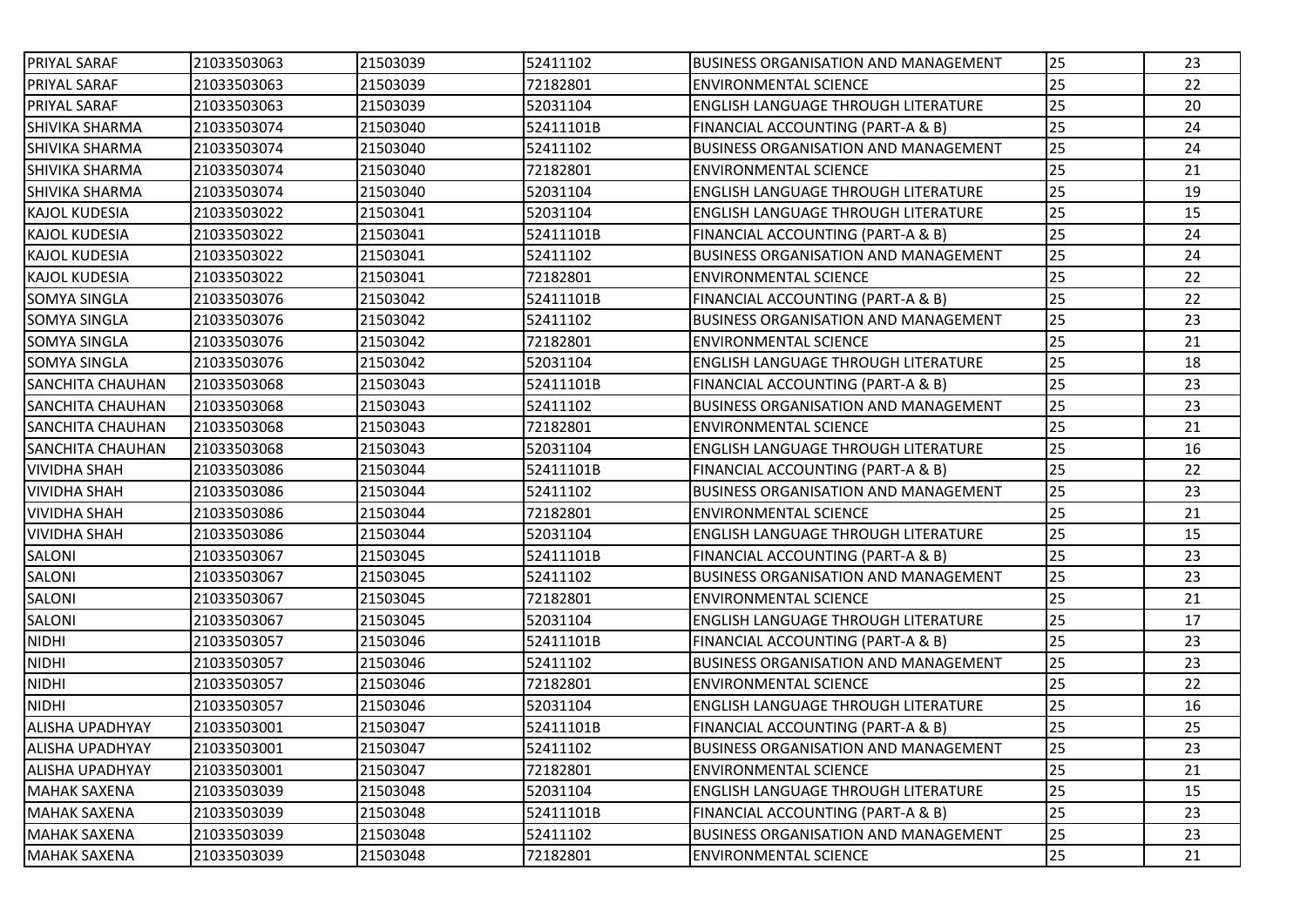| 21033503063 |          |                      |                                             | 25                                                                                                                                                                                                                                                                                                                                                                                                                                                                                                     | 23 |
|-------------|----------|----------------------|---------------------------------------------|--------------------------------------------------------------------------------------------------------------------------------------------------------------------------------------------------------------------------------------------------------------------------------------------------------------------------------------------------------------------------------------------------------------------------------------------------------------------------------------------------------|----|
| 21033503063 | 21503039 | 72182801             | <b>ENVIRONMENTAL SCIENCE</b>                | 25                                                                                                                                                                                                                                                                                                                                                                                                                                                                                                     | 22 |
| 21033503063 | 21503039 | 52031104             | <b>ENGLISH LANGUAGE THROUGH LITERATURE</b>  | 25                                                                                                                                                                                                                                                                                                                                                                                                                                                                                                     | 20 |
| 21033503074 | 21503040 | 52411101B            | FINANCIAL ACCOUNTING (PART-A & B)           | 25                                                                                                                                                                                                                                                                                                                                                                                                                                                                                                     | 24 |
| 21033503074 | 21503040 | 52411102             |                                             | 25                                                                                                                                                                                                                                                                                                                                                                                                                                                                                                     | 24 |
| 21033503074 | 21503040 | 72182801             | <b>ENVIRONMENTAL SCIENCE</b>                | 25                                                                                                                                                                                                                                                                                                                                                                                                                                                                                                     | 21 |
| 21033503074 | 21503040 | 52031104             | ENGLISH LANGUAGE THROUGH LITERATURE         | 25                                                                                                                                                                                                                                                                                                                                                                                                                                                                                                     | 19 |
| 21033503022 | 21503041 | 52031104             | <b>ENGLISH LANGUAGE THROUGH LITERATURE</b>  | 25                                                                                                                                                                                                                                                                                                                                                                                                                                                                                                     | 15 |
| 21033503022 | 21503041 | 52411101B            |                                             | 25                                                                                                                                                                                                                                                                                                                                                                                                                                                                                                     | 24 |
| 21033503022 | 21503041 | 52411102             | <b>BUSINESS ORGANISATION AND MANAGEMENT</b> | 25                                                                                                                                                                                                                                                                                                                                                                                                                                                                                                     | 24 |
| 21033503022 | 21503041 | 72182801             | <b>ENVIRONMENTAL SCIENCE</b>                | 25                                                                                                                                                                                                                                                                                                                                                                                                                                                                                                     | 22 |
| 21033503076 | 21503042 | 52411101B            | FINANCIAL ACCOUNTING (PART-A & B)           | 25                                                                                                                                                                                                                                                                                                                                                                                                                                                                                                     | 22 |
| 21033503076 | 21503042 | 52411102             | BUSINESS ORGANISATION AND MANAGEMENT        | 25                                                                                                                                                                                                                                                                                                                                                                                                                                                                                                     | 23 |
| 21033503076 | 21503042 | 72182801             | <b>ENVIRONMENTAL SCIENCE</b>                | 25                                                                                                                                                                                                                                                                                                                                                                                                                                                                                                     | 21 |
| 21033503076 | 21503042 | 52031104             | <b>ENGLISH LANGUAGE THROUGH LITERATURE</b>  | 25                                                                                                                                                                                                                                                                                                                                                                                                                                                                                                     | 18 |
| 21033503068 | 21503043 | 52411101B            |                                             | 25                                                                                                                                                                                                                                                                                                                                                                                                                                                                                                     | 23 |
| 21033503068 | 21503043 | 52411102             | BUSINESS ORGANISATION AND MANAGEMENT        | 25                                                                                                                                                                                                                                                                                                                                                                                                                                                                                                     | 23 |
| 21033503068 | 21503043 | 72182801             | <b>ENVIRONMENTAL SCIENCE</b>                | 25                                                                                                                                                                                                                                                                                                                                                                                                                                                                                                     | 21 |
| 21033503068 | 21503043 | 52031104             | <b>ENGLISH LANGUAGE THROUGH LITERATURE</b>  | 25                                                                                                                                                                                                                                                                                                                                                                                                                                                                                                     | 16 |
| 21033503086 | 21503044 | 52411101B            | FINANCIAL ACCOUNTING (PART-A & B)           | 25                                                                                                                                                                                                                                                                                                                                                                                                                                                                                                     | 22 |
| 21033503086 | 21503044 | 52411102             | BUSINESS ORGANISATION AND MANAGEMENT        | 25                                                                                                                                                                                                                                                                                                                                                                                                                                                                                                     | 23 |
| 21033503086 | 21503044 | 72182801             | <b>ENVIRONMENTAL SCIENCE</b>                | 25                                                                                                                                                                                                                                                                                                                                                                                                                                                                                                     | 21 |
| 21033503086 | 21503044 | 52031104             | <b>ENGLISH LANGUAGE THROUGH LITERATURE</b>  | 25                                                                                                                                                                                                                                                                                                                                                                                                                                                                                                     | 15 |
| 21033503067 | 21503045 | 52411101B            | FINANCIAL ACCOUNTING (PART-A & B)           | 25                                                                                                                                                                                                                                                                                                                                                                                                                                                                                                     | 23 |
| 21033503067 | 21503045 | 52411102             | <b>BUSINESS ORGANISATION AND MANAGEMENT</b> | 25                                                                                                                                                                                                                                                                                                                                                                                                                                                                                                     | 23 |
| 21033503067 | 21503045 | 72182801             | <b>ENVIRONMENTAL SCIENCE</b>                | 25                                                                                                                                                                                                                                                                                                                                                                                                                                                                                                     | 21 |
| 21033503067 | 21503045 | 52031104             | ENGLISH LANGUAGE THROUGH LITERATURE         | 25                                                                                                                                                                                                                                                                                                                                                                                                                                                                                                     | 17 |
| 21033503057 | 21503046 | 52411101B            | FINANCIAL ACCOUNTING (PART-A & B)           | 25                                                                                                                                                                                                                                                                                                                                                                                                                                                                                                     | 23 |
| 21033503057 | 21503046 | 52411102             |                                             | 25                                                                                                                                                                                                                                                                                                                                                                                                                                                                                                     | 23 |
| 21033503057 | 21503046 | 72182801             | <b>ENVIRONMENTAL SCIENCE</b>                | 25                                                                                                                                                                                                                                                                                                                                                                                                                                                                                                     | 22 |
| 21033503057 | 21503046 | 52031104             | ENGLISH LANGUAGE THROUGH LITERATURE         | 25                                                                                                                                                                                                                                                                                                                                                                                                                                                                                                     | 16 |
| 21033503001 | 21503047 | 52411101B            | FINANCIAL ACCOUNTING (PART-A & B)           | 25                                                                                                                                                                                                                                                                                                                                                                                                                                                                                                     | 25 |
| 21033503001 |          |                      |                                             | 25                                                                                                                                                                                                                                                                                                                                                                                                                                                                                                     | 23 |
| 21033503001 | 21503047 | 72182801             |                                             | 25                                                                                                                                                                                                                                                                                                                                                                                                                                                                                                     | 21 |
| 21033503039 | 21503048 | 52031104             |                                             | 25                                                                                                                                                                                                                                                                                                                                                                                                                                                                                                     | 15 |
| 21033503039 | 21503048 |                      |                                             | 25                                                                                                                                                                                                                                                                                                                                                                                                                                                                                                     | 23 |
| 21033503039 | 21503048 | 52411102             |                                             | 25                                                                                                                                                                                                                                                                                                                                                                                                                                                                                                     | 23 |
| 21033503039 | 21503048 | 72182801             |                                             | 25                                                                                                                                                                                                                                                                                                                                                                                                                                                                                                     | 21 |
|             |          | 21503039<br>21503047 | 52411102<br>52411102<br>52411101B           | <b>BUSINESS ORGANISATION AND MANAGEMENT</b><br><b>BUSINESS ORGANISATION AND MANAGEMENT</b><br><b>FINANCIAL ACCOUNTING (PART-A &amp; B)</b><br><b>FINANCIAL ACCOUNTING (PART-A &amp; B)</b><br><b>IBUSINESS ORGANISATION AND MANAGEMENT</b><br><b>BUSINESS ORGANISATION AND MANAGEMENT</b><br><b>ENVIRONMENTAL SCIENCE</b><br><b>ENGLISH LANGUAGE THROUGH LITERATURE</b><br><b>FINANCIAL ACCOUNTING (PART-A &amp; B)</b><br><b>BUSINESS ORGANISATION AND MANAGEMENT</b><br><b>ENVIRONMENTAL SCIENCE</b> |    |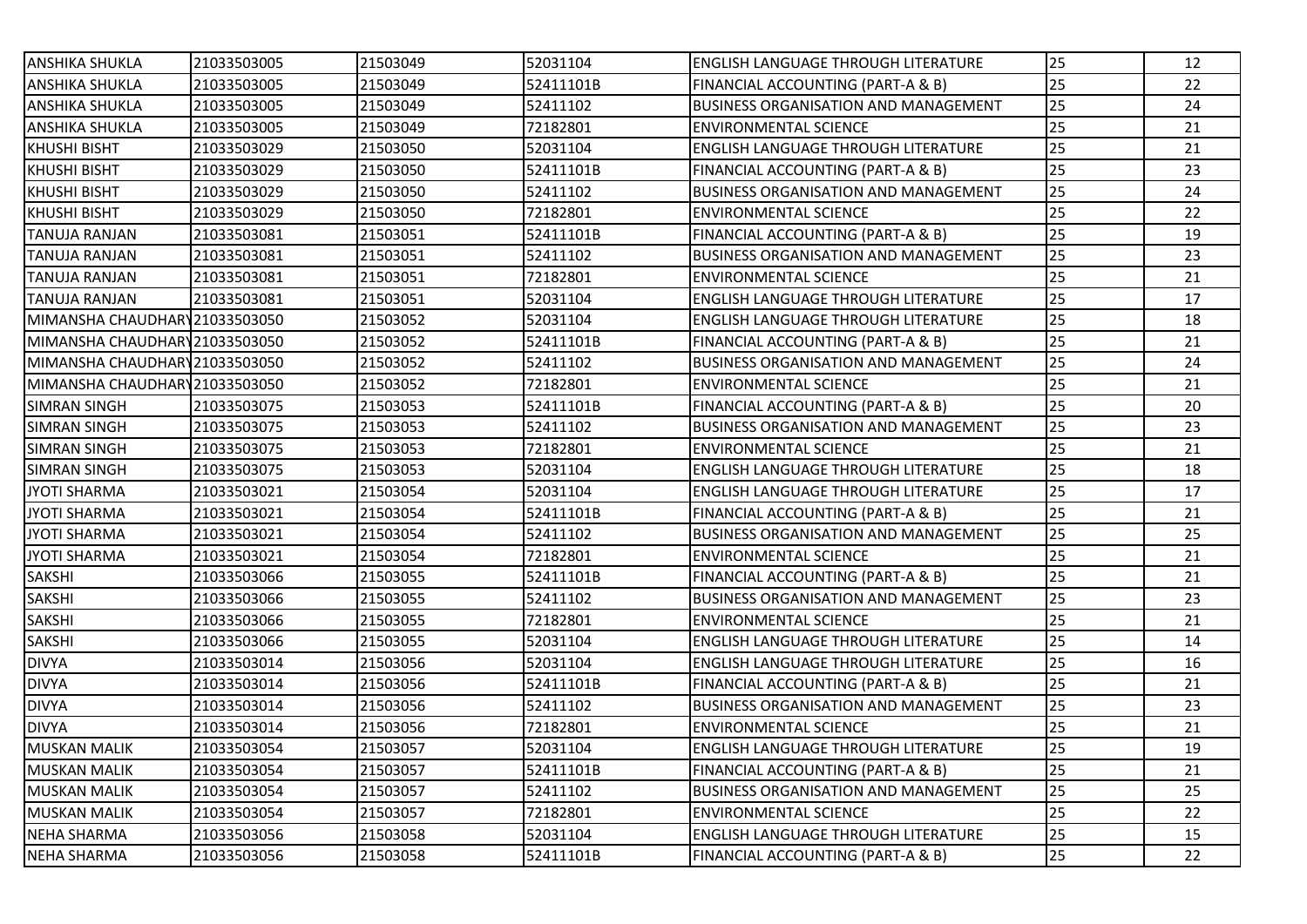| <b>ANSHIKA SHUKLA</b>          | 21033503005 | 21503049 | 52031104  | lENGLISH LANGUAGE THROUGH LITERATURE         | 25 | 12 |
|--------------------------------|-------------|----------|-----------|----------------------------------------------|----|----|
| <b>ANSHIKA SHUKLA</b>          | 21033503005 | 21503049 | 52411101B | FINANCIAL ACCOUNTING (PART-A & B)            | 25 | 22 |
| ANSHIKA SHUKLA                 | 21033503005 | 21503049 | 52411102  | <b>IBUSINESS ORGANISATION AND MANAGEMENT</b> | 25 | 24 |
| ANSHIKA SHUKLA                 | 21033503005 | 21503049 | 72182801  | ENVIRONMENTAL SCIENCE                        | 25 | 21 |
| <b>KHUSHI BISHT</b>            | 21033503029 | 21503050 | 52031104  | <b>ENGLISH LANGUAGE THROUGH LITERATURE</b>   | 25 | 21 |
| <b>KHUSHI BISHT</b>            | 21033503029 | 21503050 | 52411101B | FINANCIAL ACCOUNTING (PART-A & B)            | 25 | 23 |
| KHUSHI BISHT                   | 21033503029 | 21503050 | 52411102  | BUSINESS ORGANISATION AND MANAGEMENT         | 25 | 24 |
| <b>KHUSHI BISHT</b>            | 21033503029 | 21503050 | 72182801  | <b>ENVIRONMENTAL SCIENCE</b>                 | 25 | 22 |
| <b>TANUJA RANJAN</b>           | 21033503081 | 21503051 | 52411101B | <b>FINANCIAL ACCOUNTING (PART-A &amp; B)</b> | 25 | 19 |
| <b>TANUJA RANJAN</b>           | 21033503081 | 21503051 | 52411102  | <b>BUSINESS ORGANISATION AND MANAGEMENT</b>  | 25 | 23 |
| <b>TANUJA RANJAN</b>           | 21033503081 | 21503051 | 72182801  | <b>ENVIRONMENTAL SCIENCE</b>                 | 25 | 21 |
| <b>TANUJA RANJAN</b>           | 21033503081 | 21503051 | 52031104  | <b>ENGLISH LANGUAGE THROUGH LITERATURE</b>   | 25 | 17 |
| MIMANSHA CHAUDHARY 21033503050 |             | 21503052 | 52031104  | IENGLISH LANGUAGE THROUGH LITERATURE         | 25 | 18 |
| MIMANSHA CHAUDHARY21033503050  |             | 21503052 | 52411101B | FINANCIAL ACCOUNTING (PART-A & B)            | 25 | 21 |
| MIMANSHA CHAUDHARY 21033503050 |             | 21503052 | 52411102  | <b>BUSINESS ORGANISATION AND MANAGEMENT</b>  | 25 | 24 |
| MIMANSHA CHAUDHARY 21033503050 |             | 21503052 | 72182801  | <b>IENVIRONMENTAL SCIENCE</b>                | 25 | 21 |
| <b>SIMRAN SINGH</b>            | 21033503075 | 21503053 | 52411101B | FINANCIAL ACCOUNTING (PART-A & B)            | 25 | 20 |
| <b>SIMRAN SINGH</b>            | 21033503075 | 21503053 | 52411102  | <b>BUSINESS ORGANISATION AND MANAGEMENT</b>  | 25 | 23 |
| <b>SIMRAN SINGH</b>            | 21033503075 | 21503053 | 72182801  | ENVIRONMENTAL SCIENCE                        | 25 | 21 |
| <b>SIMRAN SINGH</b>            | 21033503075 | 21503053 | 52031104  | IENGLISH LANGUAGE THROUGH LITERATURE         | 25 | 18 |
| JYOTI SHARMA                   | 21033503021 | 21503054 | 52031104  | IENGLISH LANGUAGE THROUGH LITERATURE         | 25 | 17 |
| <b>JYOTI SHARMA</b>            | 21033503021 | 21503054 | 52411101B | FINANCIAL ACCOUNTING (PART-A & B)            | 25 | 21 |
| <b>JYOTI SHARMA</b>            | 21033503021 | 21503054 | 52411102  | BUSINESS ORGANISATION AND MANAGEMENT         | 25 | 25 |
| <b>JYOTI SHARMA</b>            | 21033503021 | 21503054 | 72182801  | IENVIRONMENTAL SCIENCE                       | 25 | 21 |
| <b>SAKSHI</b>                  | 21033503066 | 21503055 | 52411101B | FINANCIAL ACCOUNTING (PART-A & B)            | 25 | 21 |
| <b>SAKSHI</b>                  | 21033503066 | 21503055 | 52411102  | <b>IBUSINESS ORGANISATION AND MANAGEMENT</b> | 25 | 23 |
| <b>SAKSHI</b>                  | 21033503066 | 21503055 | 72182801  | ENVIRONMENTAL SCIENCE                        | 25 | 21 |
| <b>SAKSHI</b>                  | 21033503066 | 21503055 | 52031104  | <b>ENGLISH LANGUAGE THROUGH LITERATURE</b>   | 25 | 14 |
| <b>DIVYA</b>                   | 21033503014 | 21503056 | 52031104  | <b>ENGLISH LANGUAGE THROUGH LITERATURE</b>   | 25 | 16 |
| <b>DIVYA</b>                   | 21033503014 | 21503056 | 52411101B | FINANCIAL ACCOUNTING (PART-A & B)            | 25 | 21 |
| <b>DIVYA</b>                   | 21033503014 | 21503056 | 52411102  | <b>BUSINESS ORGANISATION AND MANAGEMENT</b>  | 25 | 23 |
| <b>DIVYA</b>                   | 21033503014 | 21503056 | 72182801  | <b>ENVIRONMENTAL SCIENCE</b>                 | 25 | 21 |
| <b>MUSKAN MALIK</b>            | 21033503054 | 21503057 | 52031104  | <b>ENGLISH LANGUAGE THROUGH LITERATURE</b>   | 25 | 19 |
| <b>MUSKAN MALIK</b>            | 21033503054 | 21503057 | 52411101B | FINANCIAL ACCOUNTING (PART-A & B)            | 25 | 21 |
| <b>MUSKAN MALIK</b>            | 21033503054 | 21503057 | 52411102  | <b>BUSINESS ORGANISATION AND MANAGEMENT</b>  | 25 | 25 |
| <b>MUSKAN MALIK</b>            | 21033503054 | 21503057 | 72182801  | <b>ENVIRONMENTAL SCIENCE</b>                 | 25 | 22 |
| NEHA SHARMA                    | 21033503056 | 21503058 | 52031104  | <b>ENGLISH LANGUAGE THROUGH LITERATURE</b>   | 25 | 15 |
| <b>NEHA SHARMA</b>             | 21033503056 | 21503058 | 52411101B | FINANCIAL ACCOUNTING (PART-A & B)            | 25 | 22 |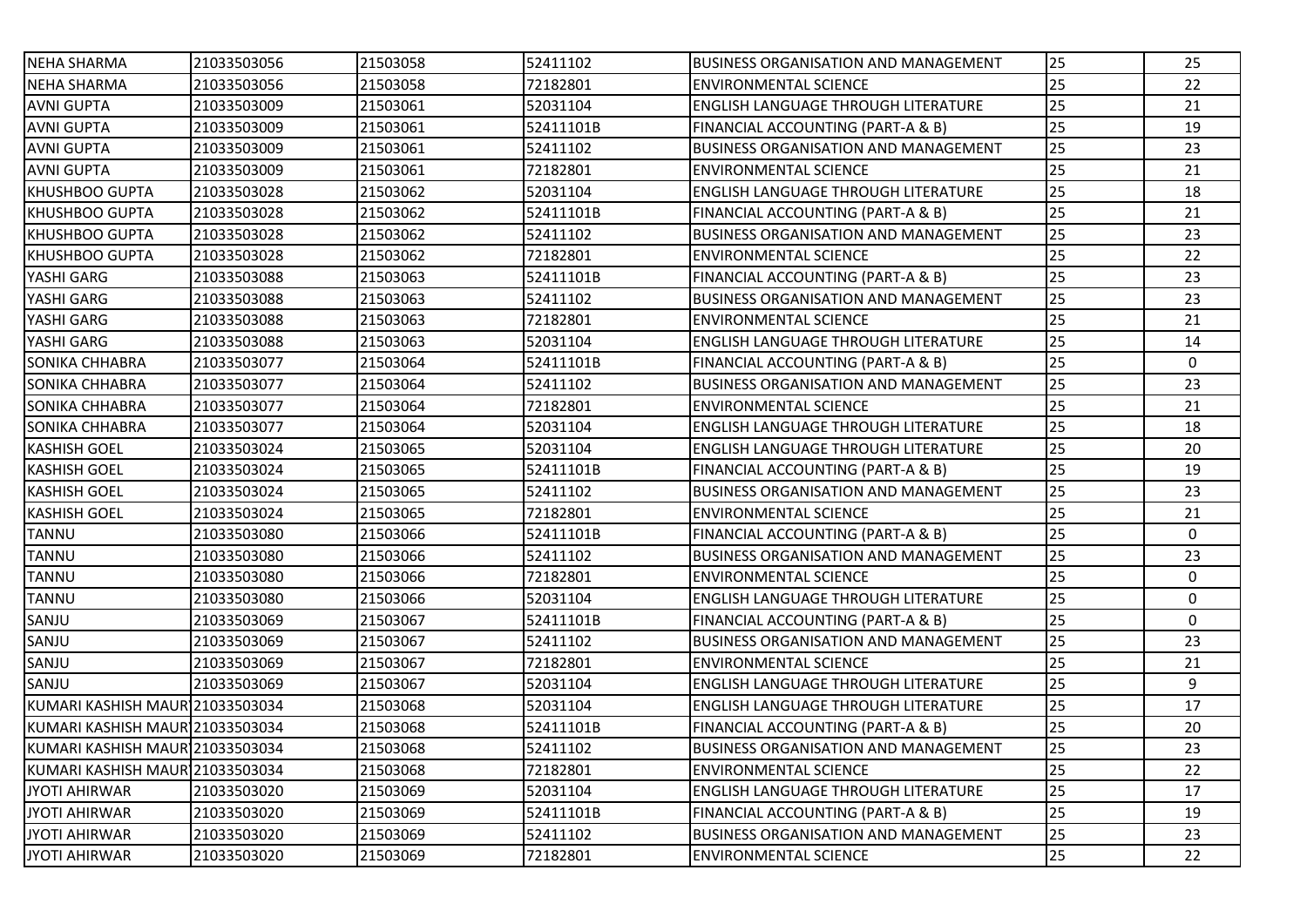| <b>NEHA SHARMA</b>              | 21033503056 | 21503058 | 52411102  | <b>IBUSINESS ORGANISATION AND MANAGEMENT</b> | 25              | 25           |
|---------------------------------|-------------|----------|-----------|----------------------------------------------|-----------------|--------------|
| <b>NEHA SHARMA</b>              | 21033503056 | 21503058 | 72182801  | <b>ENVIRONMENTAL SCIENCE</b>                 | 25              | 22           |
| <b>AVNI GUPTA</b>               | 21033503009 | 21503061 | 52031104  | lENGLISH LANGUAGE THROUGH LITERATURE         | 25              | 21           |
| <b>AVNI GUPTA</b>               | 21033503009 | 21503061 | 52411101B | FINANCIAL ACCOUNTING (PART-A & B)            | 25              | 19           |
| <b>AVNI GUPTA</b>               | 21033503009 | 21503061 | 52411102  | <b>BUSINESS ORGANISATION AND MANAGEMENT</b>  | 25              | 23           |
| <b>AVNI GUPTA</b>               | 21033503009 | 21503061 | 72182801  | <b>ENVIRONMENTAL SCIENCE</b>                 | 25              | 21           |
| <b>KHUSHBOO GUPTA</b>           | 21033503028 | 21503062 | 52031104  | <b>ENGLISH LANGUAGE THROUGH LITERATURE</b>   | 25              | 18           |
| <b>KHUSHBOO GUPTA</b>           | 21033503028 | 21503062 | 52411101B | FINANCIAL ACCOUNTING (PART-A & B)            | 25              | 21           |
| <b>KHUSHBOO GUPTA</b>           | 21033503028 | 21503062 | 52411102  | <b>IBUSINESS ORGANISATION AND MANAGEMENT</b> | 25              | 23           |
| <b>KHUSHBOO GUPTA</b>           | 21033503028 | 21503062 | 72182801  | <b>ENVIRONMENTAL SCIENCE</b>                 | 25              | 22           |
| YASHI GARG                      | 21033503088 | 21503063 | 52411101B | FINANCIAL ACCOUNTING (PART-A & B)            | 25              | 23           |
| YASHI GARG                      | 21033503088 | 21503063 | 52411102  | <b>BUSINESS ORGANISATION AND MANAGEMENT</b>  | 25              | 23           |
| YASHI GARG                      | 21033503088 | 21503063 | 72182801  | <b>ENVIRONMENTAL SCIENCE</b>                 | 25              | 21           |
| YASHI GARG                      | 21033503088 | 21503063 | 52031104  | ENGLISH LANGUAGE THROUGH LITERATURE          | 25              | 14           |
| <b>SONIKA CHHABRA</b>           | 21033503077 | 21503064 | 52411101B | FINANCIAL ACCOUNTING (PART-A & B)            | 25              | 0            |
| <b>SONIKA CHHABRA</b>           | 21033503077 | 21503064 | 52411102  | <b>IBUSINESS ORGANISATION AND MANAGEMENT</b> | 25              | 23           |
| <b>SONIKA CHHABRA</b>           | 21033503077 | 21503064 | 72182801  | <b>ENVIRONMENTAL SCIENCE</b>                 | 25              | 21           |
| <b>SONIKA CHHABRA</b>           | 21033503077 | 21503064 | 52031104  | ENGLISH LANGUAGE THROUGH LITERATURE          | 25              | 18           |
| <b>KASHISH GOEL</b>             | 21033503024 | 21503065 | 52031104  | ENGLISH LANGUAGE THROUGH LITERATURE          | 25              | 20           |
| <b>KASHISH GOEL</b>             | 21033503024 | 21503065 | 52411101B | FINANCIAL ACCOUNTING (PART-A & B)            | 25              | 19           |
| <b>KASHISH GOEL</b>             | 21033503024 | 21503065 | 52411102  | <b>BUSINESS ORGANISATION AND MANAGEMENT</b>  | 25              | 23           |
| <b>KASHISH GOEL</b>             | 21033503024 | 21503065 | 72182801  | <b>ENVIRONMENTAL SCIENCE</b>                 | 25              | 21           |
| <b>TANNU</b>                    | 21033503080 | 21503066 | 52411101B | FINANCIAL ACCOUNTING (PART-A & B)            | 25              | 0            |
| <b>TANNU</b>                    | 21033503080 | 21503066 | 52411102  | BUSINESS ORGANISATION AND MANAGEMENT         | 25              | 23           |
| <b>TANNU</b>                    | 21033503080 | 21503066 | 72182801  | <b>ENVIRONMENTAL SCIENCE</b>                 | 25              | $\mathbf{0}$ |
| <b>TANNU</b>                    | 21033503080 | 21503066 | 52031104  | ENGLISH LANGUAGE THROUGH LITERATURE          | 25              | $\mathbf{0}$ |
| SANJU                           | 21033503069 | 21503067 | 52411101B | FINANCIAL ACCOUNTING (PART-A & B)            | 25              | 0            |
| SANJU                           | 21033503069 | 21503067 | 52411102  | BUSINESS ORGANISATION AND MANAGEMENT         | 25              | 23           |
| SANJU                           | 21033503069 | 21503067 | 72182801  | IENVIRONMENTAL SCIENCE                       | 25              | 21           |
| SANJU                           | 21033503069 | 21503067 | 52031104  | <b>ENGLISH LANGUAGE THROUGH LITERATURE</b>   | 25              | 9            |
| KUMARI KASHISH MAURI21033503034 |             | 21503068 | 52031104  | ENGLISH LANGUAGE THROUGH LITERATURE          | 25              | 17           |
| KUMARI KASHISH MAUR 21033503034 |             | 21503068 | 52411101B | FINANCIAL ACCOUNTING (PART-A & B)            | 25              | 20           |
| KUMARI KASHISH MAUR 21033503034 |             | 21503068 | 52411102  | <b>BUSINESS ORGANISATION AND MANAGEMENT</b>  | $\overline{25}$ | 23           |
| KUMARI KASHISH MAUR 21033503034 |             | 21503068 | 72182801  | <b>ENVIRONMENTAL SCIENCE</b>                 | 25              | 22           |
| <b>JYOTI AHIRWAR</b>            | 21033503020 | 21503069 | 52031104  | <b>ENGLISH LANGUAGE THROUGH LITERATURE</b>   | 25              | 17           |
| <b>JYOTI AHIRWAR</b>            | 21033503020 | 21503069 | 52411101B | FINANCIAL ACCOUNTING (PART-A & B)            | 25              | 19           |
| <b>JYOTI AHIRWAR</b>            | 21033503020 | 21503069 | 52411102  | <b>BUSINESS ORGANISATION AND MANAGEMENT</b>  | 25              | 23           |
| <b>JYOTI AHIRWAR</b>            | 21033503020 | 21503069 | 72182801  | <b>ENVIRONMENTAL SCIENCE</b>                 | 25              | 22           |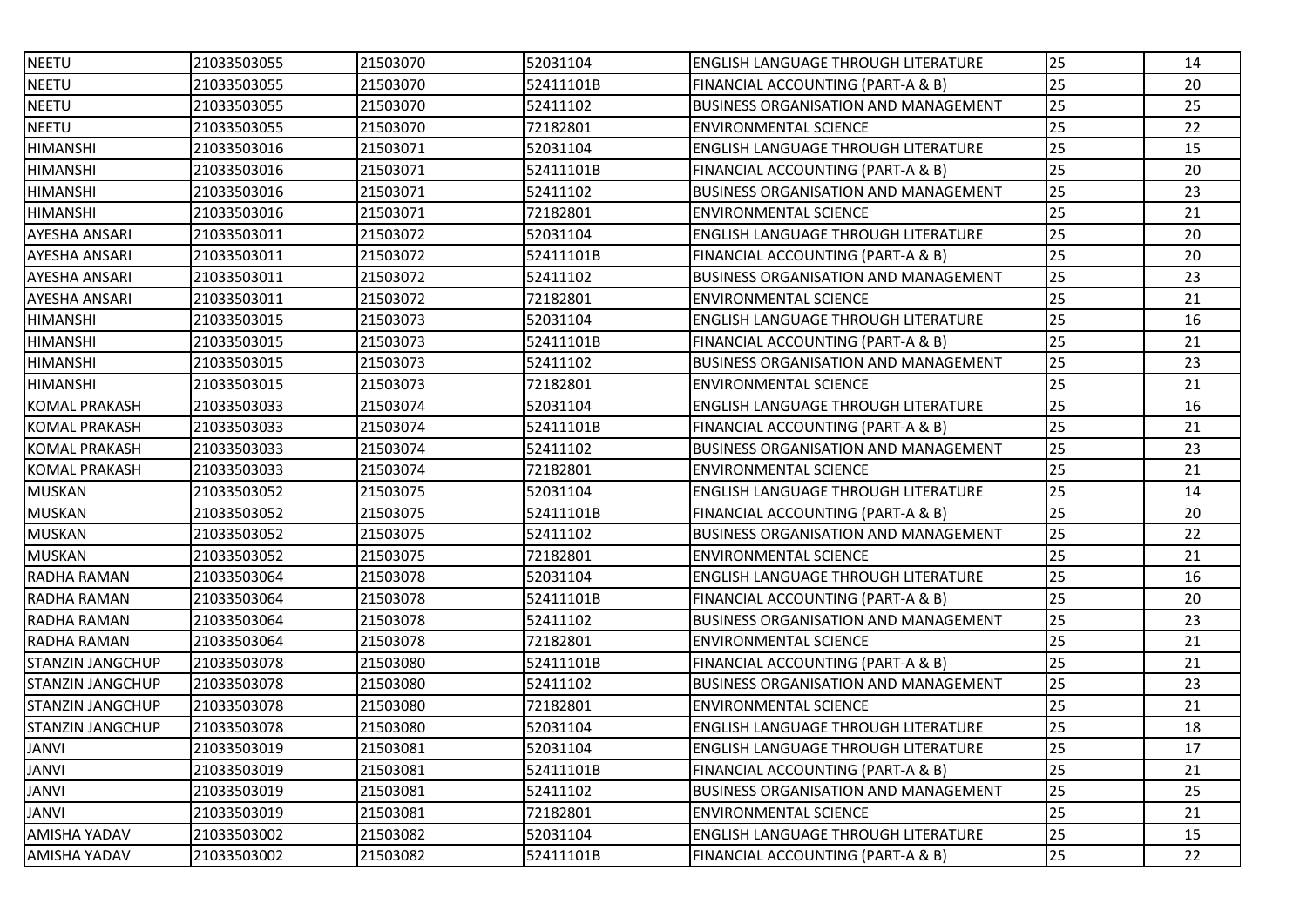| <b>NEETU</b>            | 21033503055 | 21503070 | 52031104  | ENGLISH LANGUAGE THROUGH LITERATURE         | 25 | 14 |
|-------------------------|-------------|----------|-----------|---------------------------------------------|----|----|
| <b>NEETU</b>            | 21033503055 | 21503070 | 52411101B | FINANCIAL ACCOUNTING (PART-A & B)           | 25 | 20 |
| <b>NEETU</b>            | 21033503055 | 21503070 | 52411102  | BUSINESS ORGANISATION AND MANAGEMENT        | 25 | 25 |
| <b>NEETU</b>            | 21033503055 | 21503070 | 72182801  | <b>ENVIRONMENTAL SCIENCE</b>                | 25 | 22 |
| <b>HIMANSHI</b>         | 21033503016 | 21503071 | 52031104  | ENGLISH LANGUAGE THROUGH LITERATURE         | 25 | 15 |
| <b>HIMANSHI</b>         | 21033503016 | 21503071 | 52411101B | FINANCIAL ACCOUNTING (PART-A & B)           | 25 | 20 |
| <b>HIMANSHI</b>         | 21033503016 | 21503071 | 52411102  | <b>BUSINESS ORGANISATION AND MANAGEMENT</b> | 25 | 23 |
| <b>HIMANSHI</b>         | 21033503016 | 21503071 | 72182801  | <b>ENVIRONMENTAL SCIENCE</b>                | 25 | 21 |
| <b>AYESHA ANSARI</b>    | 21033503011 | 21503072 | 52031104  | ENGLISH LANGUAGE THROUGH LITERATURE         | 25 | 20 |
| <b>AYESHA ANSARI</b>    | 21033503011 | 21503072 | 52411101B | FINANCIAL ACCOUNTING (PART-A & B)           | 25 | 20 |
| <b>AYESHA ANSARI</b>    | 21033503011 | 21503072 | 52411102  | <b>BUSINESS ORGANISATION AND MANAGEMENT</b> | 25 | 23 |
| <b>AYESHA ANSARI</b>    | 21033503011 | 21503072 | 72182801  | <b>ENVIRONMENTAL SCIENCE</b>                | 25 | 21 |
| <b>HIMANSHI</b>         | 21033503015 | 21503073 | 52031104  | ENGLISH LANGUAGE THROUGH LITERATURE         | 25 | 16 |
| <b>HIMANSHI</b>         | 21033503015 | 21503073 | 52411101B | FINANCIAL ACCOUNTING (PART-A & B)           | 25 | 21 |
| <b>HIMANSHI</b>         | 21033503015 | 21503073 | 52411102  | <b>BUSINESS ORGANISATION AND MANAGEMENT</b> | 25 | 23 |
| <b>HIMANSHI</b>         | 21033503015 | 21503073 | 72182801  | <b>ENVIRONMENTAL SCIENCE</b>                | 25 | 21 |
| <b>KOMAL PRAKASH</b>    | 21033503033 | 21503074 | 52031104  | ENGLISH LANGUAGE THROUGH LITERATURE         | 25 | 16 |
| <b>KOMAL PRAKASH</b>    | 21033503033 | 21503074 | 52411101B | FINANCIAL ACCOUNTING (PART-A & B)           | 25 | 21 |
| <b>KOMAL PRAKASH</b>    | 21033503033 | 21503074 | 52411102  | <b>BUSINESS ORGANISATION AND MANAGEMENT</b> | 25 | 23 |
| <b>KOMAL PRAKASH</b>    | 21033503033 | 21503074 | 72182801  | <b>ENVIRONMENTAL SCIENCE</b>                | 25 | 21 |
| <b>MUSKAN</b>           | 21033503052 | 21503075 | 52031104  | ENGLISH LANGUAGE THROUGH LITERATURE         | 25 | 14 |
| <b>MUSKAN</b>           | 21033503052 | 21503075 | 52411101B | FINANCIAL ACCOUNTING (PART-A & B)           | 25 | 20 |
| <b>MUSKAN</b>           | 21033503052 | 21503075 | 52411102  | BUSINESS ORGANISATION AND MANAGEMENT        | 25 | 22 |
| <b>MUSKAN</b>           | 21033503052 | 21503075 | 72182801  | <b>ENVIRONMENTAL SCIENCE</b>                | 25 | 21 |
| RADHA RAMAN             | 21033503064 | 21503078 | 52031104  | ENGLISH LANGUAGE THROUGH LITERATURE         | 25 | 16 |
| RADHA RAMAN             | 21033503064 | 21503078 | 52411101B | FINANCIAL ACCOUNTING (PART-A & B)           | 25 | 20 |
| <b>RADHA RAMAN</b>      | 21033503064 | 21503078 | 52411102  | <b>BUSINESS ORGANISATION AND MANAGEMENT</b> | 25 | 23 |
| <b>RADHA RAMAN</b>      | 21033503064 | 21503078 | 72182801  | <b>ENVIRONMENTAL SCIENCE</b>                | 25 | 21 |
| <b>STANZIN JANGCHUP</b> | 21033503078 | 21503080 | 52411101B | FINANCIAL ACCOUNTING (PART-A & B)           | 25 | 21 |
| <b>STANZIN JANGCHUP</b> | 21033503078 | 21503080 | 52411102  | <b>BUSINESS ORGANISATION AND MANAGEMENT</b> | 25 | 23 |
| <b>STANZIN JANGCHUP</b> | 21033503078 | 21503080 | 72182801  | <b>ENVIRONMENTAL SCIENCE</b>                | 25 | 21 |
| <b>STANZIN JANGCHUP</b> | 21033503078 | 21503080 | 52031104  | ENGLISH LANGUAGE THROUGH LITERATURE         | 25 | 18 |
| JANVI                   | 21033503019 | 21503081 | 52031104  | <b>ENGLISH LANGUAGE THROUGH LITERATURE</b>  | 25 | 17 |
| <b>JANVI</b>            | 21033503019 | 21503081 | 52411101B | FINANCIAL ACCOUNTING (PART-A & B)           | 25 | 21 |
| JANVI                   | 21033503019 | 21503081 | 52411102  | <b>BUSINESS ORGANISATION AND MANAGEMENT</b> | 25 | 25 |
| JANVI                   | 21033503019 | 21503081 | 72182801  | <b>ENVIRONMENTAL SCIENCE</b>                | 25 | 21 |
| AMISHA YADAV            | 21033503002 | 21503082 | 52031104  | ENGLISH LANGUAGE THROUGH LITERATURE         | 25 | 15 |
| AMISHA YADAV            | 21033503002 | 21503082 | 52411101B | FINANCIAL ACCOUNTING (PART-A & B)           | 25 | 22 |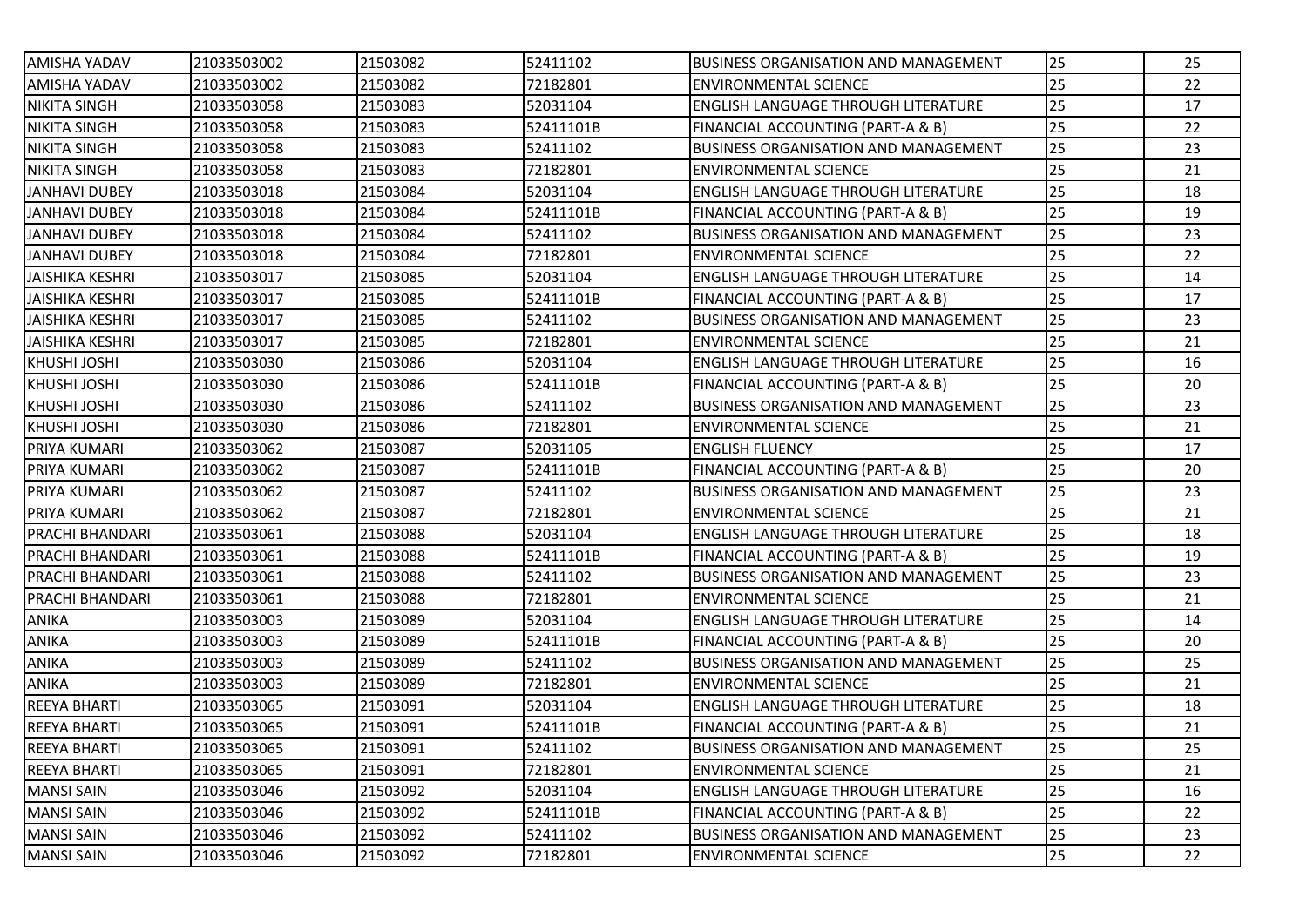| <b>AMISHA YADAV</b>    | 21033503002 | 21503082 | 52411102  | <b>IBUSINESS ORGANISATION AND MANAGEMENT</b> | 25 | 25 |
|------------------------|-------------|----------|-----------|----------------------------------------------|----|----|
| <b>AMISHA YADAV</b>    | 21033503002 | 21503082 | 72182801  | ENVIRONMENTAL SCIENCE                        | 25 | 22 |
| <b>NIKITA SINGH</b>    | 21033503058 | 21503083 | 52031104  | <b>IENGLISH LANGUAGE THROUGH LITERATURE</b>  | 25 | 17 |
| <b>NIKITA SINGH</b>    | 21033503058 | 21503083 | 52411101B | FINANCIAL ACCOUNTING (PART-A & B)            | 25 | 22 |
| <b>NIKITA SINGH</b>    | 21033503058 | 21503083 | 52411102  | <b>BUSINESS ORGANISATION AND MANAGEMENT</b>  | 25 | 23 |
| <b>NIKITA SINGH</b>    | 21033503058 | 21503083 | 72182801  | <b>IENVIRONMENTAL SCIENCE</b>                | 25 | 21 |
| <b>JANHAVI DUBEY</b>   | 21033503018 | 21503084 | 52031104  | IENGLISH LANGUAGE THROUGH LITERATURE         | 25 | 18 |
| <b>JANHAVI DUBEY</b>   | 21033503018 | 21503084 | 52411101B | <b>FINANCIAL ACCOUNTING (PART-A &amp; B)</b> | 25 | 19 |
| <b>JANHAVI DUBEY</b>   | 21033503018 | 21503084 | 52411102  | <b>IBUSINESS ORGANISATION AND MANAGEMENT</b> | 25 | 23 |
| <b>JANHAVI DUBEY</b>   | 21033503018 | 21503084 | 72182801  | <b>ENVIRONMENTAL SCIENCE</b>                 | 25 | 22 |
| <b>JAISHIKA KESHRI</b> | 21033503017 | 21503085 | 52031104  | IENGLISH LANGUAGE THROUGH LITERATURE         | 25 | 14 |
| <b>JAISHIKA KESHRI</b> | 21033503017 | 21503085 | 52411101B | FINANCIAL ACCOUNTING (PART-A & B)            | 25 | 17 |
| <b>JAISHIKA KESHRI</b> | 21033503017 | 21503085 | 52411102  | <b>IBUSINESS ORGANISATION AND MANAGEMENT</b> | 25 | 23 |
| JAISHIKA KESHRI        | 21033503017 | 21503085 | 72182801  | ENVIRONMENTAL SCIENCE                        | 25 | 21 |
| <b>KHUSHI JOSHI</b>    | 21033503030 | 21503086 | 52031104  | <b>ENGLISH LANGUAGE THROUGH LITERATURE</b>   | 25 | 16 |
| <b>KHUSHI JOSHI</b>    | 21033503030 | 21503086 | 52411101B | <b>FINANCIAL ACCOUNTING (PART-A &amp; B)</b> | 25 | 20 |
| KHUSHI JOSHI           | 21033503030 | 21503086 | 52411102  | BUSINESS ORGANISATION AND MANAGEMENT         | 25 | 23 |
| <b>KHUSHI JOSHI</b>    | 21033503030 | 21503086 | 72182801  | <b>ENVIRONMENTAL SCIENCE</b>                 | 25 | 21 |
| <b>PRIYA KUMARI</b>    | 21033503062 | 21503087 | 52031105  | <b>ENGLISH FLUENCY</b>                       | 25 | 17 |
| PRIYA KUMARI           | 21033503062 | 21503087 | 52411101B | FINANCIAL ACCOUNTING (PART-A & B)            | 25 | 20 |
| <b>PRIYA KUMARI</b>    | 21033503062 | 21503087 | 52411102  | BUSINESS ORGANISATION AND MANAGEMENT         | 25 | 23 |
| PRIYA KUMARI           | 21033503062 | 21503087 | 72182801  | <b>ENVIRONMENTAL SCIENCE</b>                 | 25 | 21 |
| <b>PRACHI BHANDARI</b> | 21033503061 | 21503088 | 52031104  | IENGLISH LANGUAGE THROUGH LITERATURE         | 25 | 18 |
| PRACHI BHANDARI        | 21033503061 | 21503088 | 52411101B | FINANCIAL ACCOUNTING (PART-A & B)            | 25 | 19 |
| PRACHI BHANDARI        | 21033503061 | 21503088 | 52411102  | <b>BUSINESS ORGANISATION AND MANAGEMENT</b>  | 25 | 23 |
| PRACHI BHANDARI        | 21033503061 | 21503088 | 72182801  | <b>IENVIRONMENTAL SCIENCE</b>                | 25 | 21 |
| ANIKA                  | 21033503003 | 21503089 | 52031104  | IENGLISH LANGUAGE THROUGH LITERATURE         | 25 | 14 |
| <b>ANIKA</b>           | 21033503003 | 21503089 | 52411101B | FINANCIAL ACCOUNTING (PART-A & B)            | 25 | 20 |
| <b>ANIKA</b>           | 21033503003 | 21503089 | 52411102  | <b>IBUSINESS ORGANISATION AND MANAGEMENT</b> | 25 | 25 |
| <b>ANIKA</b>           | 21033503003 | 21503089 | 72182801  | ENVIRONMENTAL SCIENCE                        | 25 | 21 |
| <b>REEYA BHARTI</b>    | 21033503065 | 21503091 | 52031104  | <b>IENGLISH LANGUAGE THROUGH LITERATURE</b>  | 25 | 18 |
| <b>REEYA BHARTI</b>    | 21033503065 | 21503091 | 52411101B | FINANCIAL ACCOUNTING (PART-A & B)            | 25 | 21 |
| <b>REEYA BHARTI</b>    | 21033503065 | 21503091 | 52411102  | <b>BUSINESS ORGANISATION AND MANAGEMENT</b>  | 25 | 25 |
| <b>REEYA BHARTI</b>    | 21033503065 | 21503091 | 72182801  | <b>ENVIRONMENTAL SCIENCE</b>                 | 25 | 21 |
| <b>MANSI SAIN</b>      | 21033503046 | 21503092 | 52031104  | <b>ENGLISH LANGUAGE THROUGH LITERATURE</b>   | 25 | 16 |
| <b>MANSI SAIN</b>      | 21033503046 | 21503092 | 52411101B | <b>FINANCIAL ACCOUNTING (PART-A &amp; B)</b> | 25 | 22 |
| <b>MANSI SAIN</b>      | 21033503046 | 21503092 | 52411102  | <b>BUSINESS ORGANISATION AND MANAGEMENT</b>  | 25 | 23 |
| <b>MANSI SAIN</b>      | 21033503046 | 21503092 | 72182801  | <b>ENVIRONMENTAL SCIENCE</b>                 | 25 | 22 |
|                        |             |          |           |                                              |    |    |